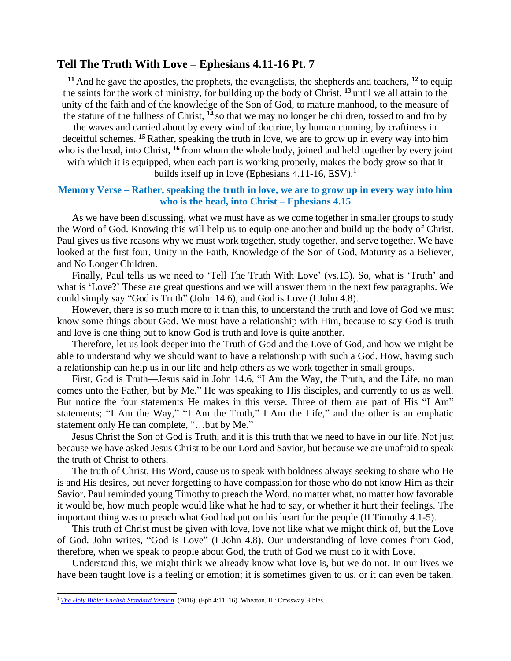## **Tell The Truth With Love – Ephesians 4.11-16 Pt. 7**

**<sup>11</sup>** And he gave the apostles, the prophets, the evangelists, the shepherds and teachers, **<sup>12</sup>** to equip the saints for the work of ministry, for building up the body of Christ, **<sup>13</sup>** until we all attain to the unity of the faith and of the knowledge of the Son of God, to mature manhood, to the measure of the stature of the fullness of Christ, **<sup>14</sup>** so that we may no longer be children, tossed to and fro by

the waves and carried about by every wind of doctrine, by human cunning, by craftiness in deceitful schemes. **<sup>15</sup>** Rather, speaking the truth in love, we are to grow up in every way into him who is the head, into Christ, <sup>16</sup> from whom the whole body, joined and held together by every joint with which it is equipped, when each part is working properly, makes the body grow so that it

builds itself up in love (Ephesians 4.11-16, ESV).<sup>1</sup>

## **Memory Verse – Rather, speaking the truth in love, we are to grow up in every way into him who is the head, into Christ – Ephesians 4.15**

As we have been discussing, what we must have as we come together in smaller groups to study the Word of God. Knowing this will help us to equip one another and build up the body of Christ. Paul gives us five reasons why we must work together, study together, and serve together. We have looked at the first four, Unity in the Faith, Knowledge of the Son of God, Maturity as a Believer, and No Longer Children.

Finally, Paul tells us we need to 'Tell The Truth With Love' (vs.15). So, what is 'Truth' and what is 'Love?' These are great questions and we will answer them in the next few paragraphs. We could simply say "God is Truth" (John 14.6), and God is Love (I John 4.8).

However, there is so much more to it than this, to understand the truth and love of God we must know some things about God. We must have a relationship with Him, because to say God is truth and love is one thing but to know God is truth and love is quite another.

Therefore, let us look deeper into the Truth of God and the Love of God, and how we might be able to understand why we should want to have a relationship with such a God. How, having such a relationship can help us in our life and help others as we work together in small groups.

First, God is Truth—Jesus said in John 14.6, "I Am the Way, the Truth, and the Life, no man comes unto the Father, but by Me." He was speaking to His disciples, and currently to us as well. But notice the four statements He makes in this verse. Three of them are part of His "I Am" statements; "I Am the Way," "I Am the Truth," I Am the Life," and the other is an emphatic statement only He can complete, "...but by Me."

Jesus Christ the Son of God is Truth, and it is this truth that we need to have in our life. Not just because we have asked Jesus Christ to be our Lord and Savior, but because we are unafraid to speak the truth of Christ to others.

The truth of Christ, His Word, cause us to speak with boldness always seeking to share who He is and His desires, but never forgetting to have compassion for those who do not know Him as their Savior. Paul reminded young Timothy to preach the Word, no matter what, no matter how favorable it would be, how much people would like what he had to say, or whether it hurt their feelings. The important thing was to preach what God had put on his heart for the people (II Timothy 4.1-5).

This truth of Christ must be given with love, love not like what we might think of, but the Love of God. John writes, "God is Love" (I John 4.8). Our understanding of love comes from God, therefore, when we speak to people about God, the truth of God we must do it with Love.

Understand this, we might think we already know what love is, but we do not. In our lives we have been taught love is a feeling or emotion; it is sometimes given to us, or it can even be taken.

<sup>&</sup>lt;sup>1</sup> [The Holy Bible: English Standard Version](https://ref.ly/logosres/esv?ref=BibleESV.Eph4.11&off=0&ctx=l%EF%BB%BFfill+all+things.)+~11%C2%A0And+m%EF%BB%BFhe+gave+%E2%80%A2th). (2016). (Eph 4:11-16). Wheaton, IL: Crossway Bibles.